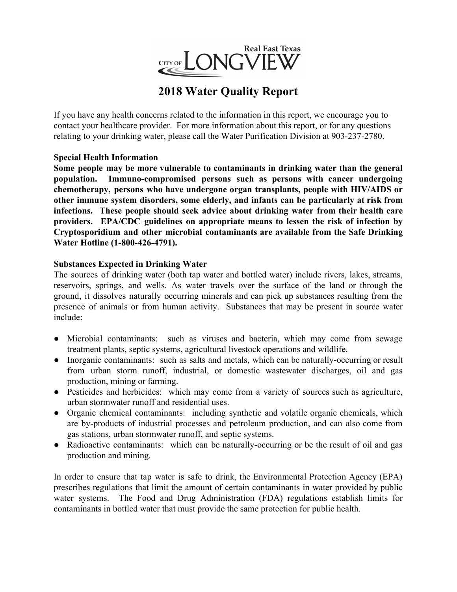

# **2018 Water Quality Report**

If you have any health concerns related to the information in this report, we encourage you to contact your healthcare provider. For more information about this report, or for any questions relating to your drinking water, please call the Water Purification Division at 903-237-2780.

## **Special Health Information**

**Some people may be more vulnerable to contaminants in drinking water than the general population. Immuno-compromised persons such as persons with cancer undergoing chemotherapy, persons who have undergone organ transplants, people with HIV/AIDS or other immune system disorders, some elderly, and infants can be particularly at risk from infections. These people should seek advice about drinking water from their health care providers. EPA/CDC guidelines on appropriate means to lessen the risk of infection by Cryptosporidium and other microbial contaminants are available from the Safe Drinking Water Hotline (1-800-426-4791).**

### **Substances Expected in Drinking Water**

The sources of drinking water (both tap water and bottled water) include rivers, lakes, streams, reservoirs, springs, and wells. As water travels over the surface of the land or through the ground, it dissolves naturally occurring minerals and can pick up substances resulting from the presence of animals or from human activity. Substances that may be present in source water include:

- Microbial contaminants: such as viruses and bacteria, which may come from sewage treatment plants, septic systems, agricultural livestock operations and wildlife.
- Inorganic contaminants: such as salts and metals, which can be naturally-occurring or result from urban storm runoff, industrial, or domestic wastewater discharges, oil and gas production, mining or farming.
- Pesticides and herbicides: which may come from a variety of sources such as agriculture, urban stormwater runoff and residential uses.
- Organic chemical contaminants: including synthetic and volatile organic chemicals, which are by-products of industrial processes and petroleum production, and can also come from gas stations, urban stormwater runoff, and septic systems.
- Radioactive contaminants: which can be naturally-occurring or be the result of oil and gas production and mining.

In order to ensure that tap water is safe to drink, the Environmental Protection Agency (EPA) prescribes regulations that limit the amount of certain contaminants in water provided by public water systems. The Food and Drug Administration (FDA) regulations establish limits for contaminants in bottled water that must provide the same protection for public health.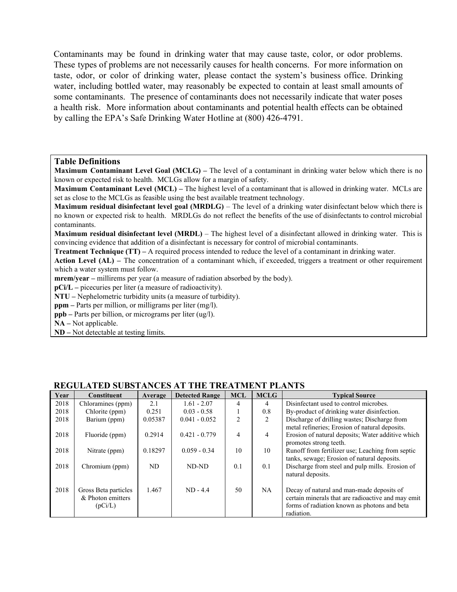Contaminants may be found in drinking water that may cause taste, color, or odor problems. These types of problems are not necessarily causes for health concerns. For more information on taste, odor, or color of drinking water, please contact the system's business office. Drinking water, including bottled water, may reasonably be expected to contain at least small amounts of some contaminants. The presence of contaminants does not necessarily indicate that water poses a health risk. More information about contaminants and potential health effects can be obtained by calling the EPA's Safe Drinking Water Hotline at (800) 426-4791.

#### **Table Definitions**

**Maximum Contaminant Level Goal (MCLG) –** The level of a contaminant in drinking water below which there is no known or expected risk to health. MCLGs allow for a margin of safety.

**Maximum Contaminant Level (MCL) –** The highest level of a contaminant that is allowed in drinking water. MCLs are set as close to the MCLGs as feasible using the best available treatment technology.

**Maximum residual disinfectant level goal (MRDLG)** – The level of a drinking water disinfectant below which there is no known or expected risk to health. MRDLGs do not reflect the benefits of the use of disinfectants to control microbial contaminants.

**Maximum residual disinfectant level (MRDL)** – The highest level of a disinfectant allowed in drinking water. This is convincing evidence that addition of a disinfectant is necessary for control of microbial contaminants.

**Treatment Technique (TT) –** A required process intended to reduce the level of a contaminant in drinking water.

**Action Level (AL) –** The concentration of a contaminant which, if exceeded, triggers a treatment or other requirement which a water system must follow.

**mrem/year** – millirems per year (a measure of radiation absorbed by the body).

**pCi/L –** picecuries per liter (a measure of radioactivity).

**NTU –** Nephelometric turbidity units (a measure of turbidity).

**ppm** – Parts per million, or milligrams per liter (mg/l).

**ppb –** Parts per billion, or micrograms per liter (ug/l).

**NA –** Not applicable.

**ND –** Not detectable at testing limits.

| Year | <b>Constituent</b>   | Average | <b>Detected Range</b> | <b>MCL</b> | <b>MCLG</b> | <b>Typical Source</b>                              |
|------|----------------------|---------|-----------------------|------------|-------------|----------------------------------------------------|
| 2018 | Chloramines (ppm)    | 2.1     | $1.61 - 2.07$         | 4          | 4           | Disinfectant used to control microbes.             |
| 2018 | Chlorite (ppm)       | 0.251   | $0.03 - 0.58$         |            | 0.8         | By-product of drinking water disinfection.         |
| 2018 | Barium (ppm)         | 0.05387 | $0.041 - 0.052$       | 2          | 2           | Discharge of drilling wastes; Discharge from       |
|      |                      |         |                       |            |             | metal refineries; Erosion of natural deposits.     |
| 2018 | Fluoride (ppm)       | 0.2914  | $0.421 - 0.779$       | 4          | 4           | Erosion of natural deposits: Water additive which  |
|      |                      |         |                       |            |             | promotes strong teeth.                             |
| 2018 | Nitrate (ppm)        | 0.18297 | $0.059 - 0.34$        | 10         | 10          | Runoff from fertilizer use; Leaching from septic   |
|      |                      |         |                       |            |             | tanks, sewage; Erosion of natural deposits.        |
| 2018 | Chromium (ppm)       | ND      | ND-ND                 | 0.1        | 0.1         | Discharge from steel and pulp mills. Erosion of    |
|      |                      |         |                       |            |             | natural deposits.                                  |
|      |                      |         |                       |            |             |                                                    |
| 2018 | Gross Beta particles | 1.467   | $ND - 4.4$            | 50         | NA.         | Decay of natural and man-made deposits of          |
|      | & Photon emitters    |         |                       |            |             | certain minerals that are radioactive and may emit |
|      | (pCi/L)              |         |                       |            |             | forms of radiation known as photons and beta       |
|      |                      |         |                       |            |             | radiation.                                         |

#### **REGULATED SUBSTANCES AT THE TREATMENT PLANTS**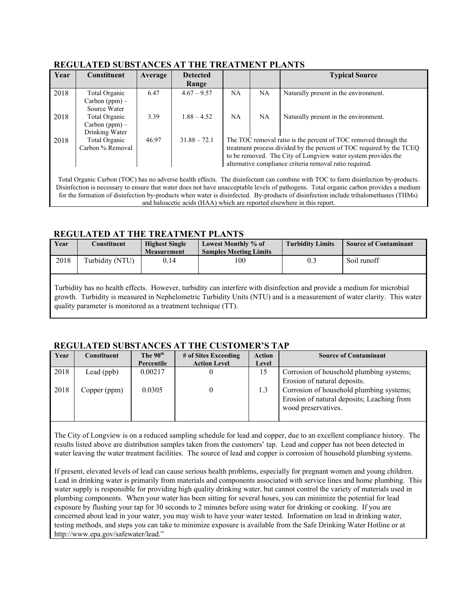| Year | <b>Constituent</b> | Average | <b>Detected</b> |                                                                      |    | <b>Typical Source</b>                                           |  |  |
|------|--------------------|---------|-----------------|----------------------------------------------------------------------|----|-----------------------------------------------------------------|--|--|
|      |                    |         | Range           |                                                                      |    |                                                                 |  |  |
| 2018 | Total Organic      | 6.47    | $4.67 - 9.57$   | <b>NA</b>                                                            | NA | Naturally present in the environment.                           |  |  |
|      | Carbon $(ppm)$ –   |         |                 |                                                                      |    |                                                                 |  |  |
|      | Source Water       |         |                 |                                                                      |    |                                                                 |  |  |
| 2018 | Total Organic      | 3.39    | $1.88 - 4.52$   | <b>NA</b>                                                            | NA | Naturally present in the environment.                           |  |  |
|      | $Carbon (ppm) -$   |         |                 |                                                                      |    |                                                                 |  |  |
|      | Drinking Water     |         |                 |                                                                      |    |                                                                 |  |  |
| 2018 | Total Organic      | 46.97   | $31.88 - 72.1$  |                                                                      |    | The TOC removal ratio is the percent of TOC removed through the |  |  |
|      | Carbon % Removal   |         |                 | treatment process divided by the percent of TOC required by the TCEQ |    |                                                                 |  |  |
|      |                    |         |                 | to be removed. The City of Longview water system provides the        |    |                                                                 |  |  |
|      |                    |         |                 | alternative compliance criteria removal ratio required.              |    |                                                                 |  |  |
|      |                    |         |                 |                                                                      |    |                                                                 |  |  |

#### **REGULATED SUBSTANCES AT THE TREATMENT PLANTS**

Total Organic Carbon (TOC) has no adverse health effects. The disinfectant can combine with TOC to form disinfection by-products. Disinfection is necessary to ensure that water does not have unacceptable levels of pathogens. Total organic carbon provides a medium for the formation of disinfection by-products when water is disinfected. By-products of disinfection include trihalomethanes (THMs) and haloacetic acids (HAA) which are reported elsewhere in this report.

## **REGULATED AT THE TREATMENT PLANTS**

| Year | Constituent     | <b>Highest Single</b> | Lowest Monthly % of           | <b>Turbidity Limits</b> | <b>Source of Contaminant</b> |
|------|-----------------|-----------------------|-------------------------------|-------------------------|------------------------------|
|      |                 | <b>Measurement</b>    | <b>Samples Meeting Limits</b> |                         |                              |
| 2018 | Turbidity (NTU) | 0.14                  | 100                           | 0.3                     | Soil runoff                  |
|      |                 |                       |                               |                         |                              |

Turbidity has no health effects. However, turbidity can interfere with disinfection and provide a medium for microbial growth. Turbidity is measured in Nephelometric Turbidity Units (NTU) and is a measurement of water clarity. This water quality parameter is monitored as a treatment technique (TT).

## **REGULATED SUBSTANCES AT THE CUSTOMER'S TAP**

| Year | <b>Constituent</b> | The 90 <sup>th</sup> | # of Sites Exceeding | <b>Action</b> | <b>Source of Contaminant</b>                                                                                  |
|------|--------------------|----------------------|----------------------|---------------|---------------------------------------------------------------------------------------------------------------|
|      |                    | Percentile           | <b>Action Level</b>  | Level         |                                                                                                               |
| 2018 | Lead $(ppb)$       | 0.00217              |                      | 15            | Corrosion of household plumbing systems;<br>Erosion of natural deposits.                                      |
| 2018 | Copper (ppm)       | 0.0305               |                      | 1.3           | Corrosion of household plumbing systems;<br>Erosion of natural deposits; Leaching from<br>wood preservatives. |

The City of Longview is on a reduced sampling schedule for lead and copper, due to an excellent compliance history. The results listed above are distribution samples taken from the customers' tap. Lead and copper has not been detected in water leaving the water treatment facilities. The source of lead and copper is corrosion of household plumbing systems.

If present, elevated levels of lead can cause serious health problems, especially for pregnant women and young children. Lead in drinking water is primarily from materials and components associated with service lines and home plumbing. This water supply is responsible for providing high quality drinking water, but cannot control the variety of materials used in plumbing components. When your water has been sitting for several hours, you can minimize the potential for lead exposure by flushing your tap for 30 seconds to 2 minutes before using water for drinking or cooking. If you are concerned about lead in your water, you may wish to have your water tested. Information on lead in drinking water, testing methods, and steps you can take to minimize exposure is available from the Safe Drinking Water Hotline or at http://www.epa.gov/safewater/lead."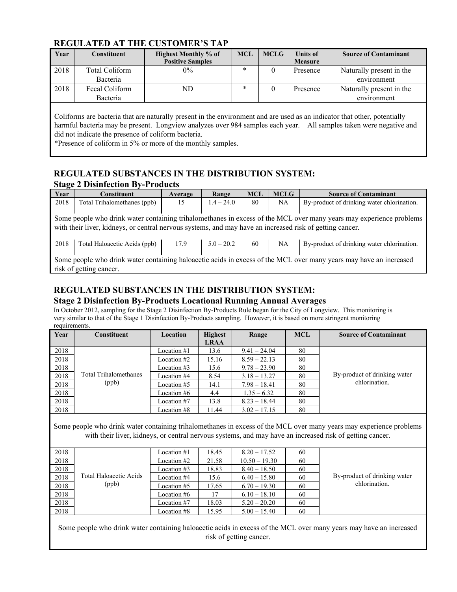## **REGULATED AT THE CUSTOMER'S TAP**

| Year | Constituent                | <b>Highest Monthly % of</b><br><b>Positive Samples</b> | <b>MCL</b> | <b>MCLG</b> | <b>Units of</b><br><b>Measure</b> | <b>Source of Contaminant</b>            |
|------|----------------------------|--------------------------------------------------------|------------|-------------|-----------------------------------|-----------------------------------------|
| 2018 | Total Coliform<br>Bacteria | $0\%$                                                  | $\ast$     |             | Presence                          | Naturally present in the<br>environment |
| 2018 | Fecal Coliform<br>Bacteria | ND                                                     | $\ast$     |             | Presence                          | Naturally present in the<br>environment |

Coliforms are bacteria that are naturally present in the environment and are used as an indicator that other, potentially harmful bacteria may be present. Longview analyzes over 984 samples each year. All samples taken were negative and did not indicate the presence of coliform bacteria.

\*Presence of coliform in 5% or more of the monthly samples.

## **REGULATED SUBSTANCES IN THE DISTRIBUTION SYSTEM:**

#### **Stage 2 Disinfection By-Products**

| Year                                                                                                               | <b>Constituent</b>                                                                                       | Average | Range        | <b>MCL</b> | <b>MCLG</b> | <b>Source of Contaminant</b>                                                                                        |  |  |
|--------------------------------------------------------------------------------------------------------------------|----------------------------------------------------------------------------------------------------------|---------|--------------|------------|-------------|---------------------------------------------------------------------------------------------------------------------|--|--|
| 2018                                                                                                               | Total Trihalomethanes (ppb)                                                                              | 15      | $1.4 - 24.0$ | 80         | NA          | By-product of drinking water chlorination.                                                                          |  |  |
|                                                                                                                    |                                                                                                          |         |              |            |             |                                                                                                                     |  |  |
|                                                                                                                    |                                                                                                          |         |              |            |             | Some people who drink water containing trihalomethanes in excess of the MCL over many years may experience problems |  |  |
|                                                                                                                    | with their liver, kidneys, or central nervous systems, and may have an increased risk of getting cancer. |         |              |            |             |                                                                                                                     |  |  |
|                                                                                                                    |                                                                                                          |         |              |            |             |                                                                                                                     |  |  |
| 2018                                                                                                               | Total Haloacetic Acids (ppb)                                                                             | 17.9    | $5.0 - 20.2$ | 60         | NA          | By-product of drinking water chlorination.                                                                          |  |  |
|                                                                                                                    |                                                                                                          |         |              |            |             |                                                                                                                     |  |  |
| Some people who drink water containing haloacetic acids in excess of the MCL over many years may have an increased |                                                                                                          |         |              |            |             |                                                                                                                     |  |  |
|                                                                                                                    | risk of getting cancer.                                                                                  |         |              |            |             |                                                                                                                     |  |  |

## **REGULATED SUBSTANCES IN THE DISTRIBUTION SYSTEM:**

#### **Stage 2 Disinfection By-Products Locational Running Annual Averages**

In October 2012, sampling for the Stage 2 Disinfection By-Products Rule began for the City of Longview. This monitoring is very similar to that of the Stage 1 Disinfection By-Products sampling. However, it is based on more stringent monitoring requirements.

| Year | <b>Constituent</b>    | Location    | <b>Highest</b> | Range          | <b>MCL</b> | <b>Source of Contaminant</b> |
|------|-----------------------|-------------|----------------|----------------|------------|------------------------------|
|      |                       |             | <b>LRAA</b>    |                |            |                              |
| 2018 |                       | Location #1 | 13.6           | $9.41 - 24.04$ | 80         |                              |
| 2018 |                       | Location #2 | 15.16          | $8.59 - 22.13$ | 80         |                              |
| 2018 |                       | Location #3 | 15.6           | $9.78 - 23.90$ | 80         |                              |
| 2018 | Total Trihalomethanes | Location #4 | 8.54           | $3.18 - 13.27$ | 80         | By-product of drinking water |
| 2018 | (ppb)                 | Location #5 | 14.1           | $7.98 - 18.41$ | 80         | chlorination.                |
| 2018 |                       | Location #6 | 4.4            | $1.35 - 6.32$  | 80         |                              |
| 2018 |                       | Location #7 | 13.8           | $8.23 - 18.44$ | 80         |                              |
| 2018 |                       | Location #8 | 11.44          | $3.02 - 17.15$ | 80         |                              |

Some people who drink water containing trihalomethanes in excess of the MCL over many years may experience problems with their liver, kidneys, or central nervous systems, and may have an increased risk of getting cancer.

| 2018 |                               | Location #1 | 18.45 | $8.20 - 17.52$  | 60 |                              |
|------|-------------------------------|-------------|-------|-----------------|----|------------------------------|
| 2018 |                               | Location #2 | 21.58 | $10.50 - 19.30$ | 60 |                              |
| 2018 |                               | Location #3 | 18.83 | $8.40 - 18.50$  | 60 |                              |
| 2018 | <b>Total Haloacetic Acids</b> | Location #4 | 15.6  | $6.40 - 15.80$  | 60 | By-product of drinking water |
| 2018 | (ppb)                         | Location #5 | 17.65 | $6.70 - 19.30$  | 60 | chlorination.                |
| 2018 |                               | Location #6 |       | $6.10 - 18.10$  | 60 |                              |
| 2018 |                               | Location #7 | 18.03 | $5.20 - 20.20$  | 60 |                              |
| 2018 |                               | Location #8 | 15.95 | $5.00 - 15.40$  | 60 |                              |

Some people who drink water containing haloacetic acids in excess of the MCL over many years may have an increased risk of getting cancer.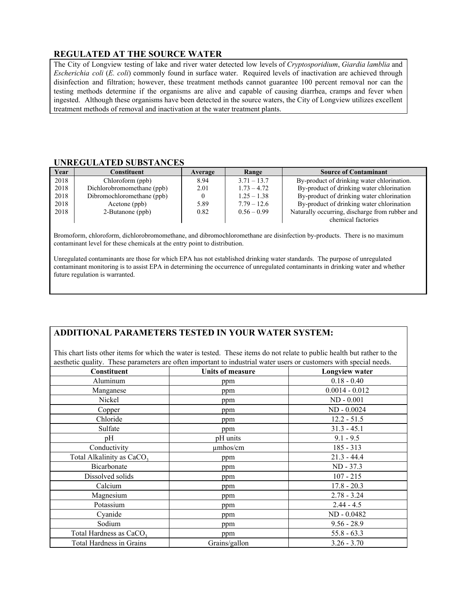## **REGULATED AT THE SOURCE WATER**

The City of Longview testing of lake and river water detected low levels of *Cryptosporidium*, *Giardia lamblia* and *Escherichia coli* (*E. coli*) commonly found in surface water. Required levels of inactivation are achieved through disinfection and filtration; however, these treatment methods cannot guarantee 100 percent removal nor can the testing methods determine if the organisms are alive and capable of causing diarrhea, cramps and fever when ingested. Although these organisms have been detected in the source waters, the City of Longview utilizes excellent treatment methods of removal and inactivation at the water treatment plants.

#### **UNREGULATED SUBSTANCES**

| Year | Constituent                | Average | Range         | <b>Source of Contaminant</b>                   |
|------|----------------------------|---------|---------------|------------------------------------------------|
| 2018 | Chloroform (ppb)           | 8.94    | $3.71 - 13.7$ | By-product of drinking water chlorination.     |
| 2018 | Dichlorobromomethane (ppb) | 2.01    | $1.73 - 4.72$ | By-product of drinking water chlorination      |
| 2018 | Dibromochloromethane (ppb) |         | $1.25 - 1.38$ | By-product of drinking water chlorination      |
| 2018 | Acetone (ppb)              | 5.89    | $7.79 - 12.6$ | By-product of drinking water chlorination      |
| 2018 | 2-Butanone (ppb)           | 0.82    | $0.56 - 0.99$ | Naturally occurring, discharge from rubber and |
|      |                            |         |               | chemical factories                             |

Bromoform, chloroform, dichlorobromomethane, and dibromochloromethane are disinfection by-products. There is no maximum contaminant level for these chemicals at the entry point to distribution.

Unregulated contaminants are those for which EPA has not established drinking water standards. The purpose of unregulated contaminant monitoring is to assist EPA in determining the occurrence of unregulated contaminants in drinking water and whether future regulation is warranted.

## **ADDITIONAL PARAMETERS TESTED IN YOUR WATER SYSTEM:**

This chart lists other items for which the water is tested. These items do not relate to public health but rather to the aesthetic quality. These parameters are often important to industrial water users or customers with special needs.

| Constituent                           | <b>Units of measure</b> | Longview water   |
|---------------------------------------|-------------------------|------------------|
| Aluminum                              | ppm                     | $0.18 - 0.40$    |
| Manganese                             | ppm                     | $0.0014 - 0.012$ |
| Nickel                                | ppm                     | $ND - 0.001$     |
| Copper                                | ppm                     | ND - 0.0024      |
| Chloride                              | ppm                     | $12.2 - 51.5$    |
| Sulfate                               | ppm                     | $31.3 - 45.1$    |
| pH                                    | pH units                | $9.1 - 9.5$      |
| Conductivity                          | umhos/cm                | $185 - 313$      |
| Total Alkalinity as CaCO <sub>3</sub> | ppm                     | $21.3 - 44.4$    |
| Bicarbonate                           | ppm                     | ND - 37.3        |
| Dissolved solids                      | ppm                     | $107 - 215$      |
| Calcium                               | ppm                     | $17.8 - 20.3$    |
| Magnesium                             | ppm                     | $2.78 - 3.24$    |
| Potassium                             | ppm                     | $2.44 - 4.5$     |
| Cyanide                               | ppm                     | ND - 0.0482      |
| Sodium                                | ppm                     | $9.56 - 28.9$    |
| Total Hardness as CaCO <sub>3</sub>   | ppm                     | $55.8 - 63.3$    |
| <b>Total Hardness in Grains</b>       | Grains/gallon           | $3.26 - 3.70$    |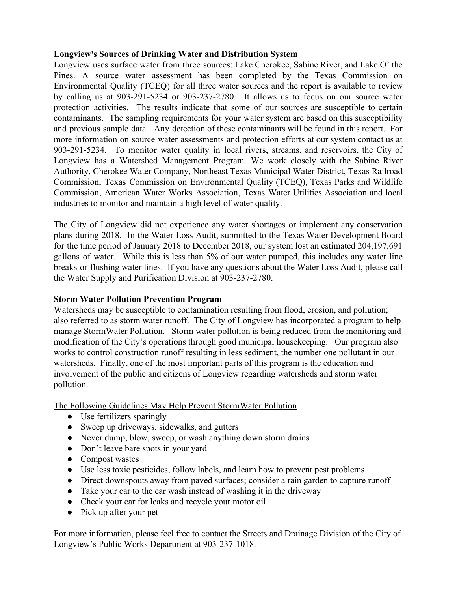## **Longview's Sources of Drinking Water and Distribution System**

Longview uses surface water from three sources: Lake Cherokee, Sabine River, and Lake O' the Pines. A source water assessment has been completed by the Texas Commission on Environmental Quality (TCEQ) for all three water sources and the report is available to review by calling us at 903-291-5234 or 903-237-2780. It allows us to focus on our source water protection activities. The results indicate that some of our sources are susceptible to certain contaminants. The sampling requirements for your water system are based on this susceptibility and previous sample data. Any detection of these contaminants will be found in this report. For more information on source water assessments and protection efforts at our system contact us at 903-291-5234. To monitor water quality in local rivers, streams, and reservoirs, the City of Longview has a Watershed Management Program. We work closely with the Sabine River Authority, Cherokee Water Company, Northeast Texas Municipal Water District, Texas Railroad Commission, Texas Commission on Environmental Quality (TCEQ), Texas Parks and Wildlife Commission, American Water Works Association, Texas Water Utilities Association and local industries to monitor and maintain a high level of water quality.

The City of Longview did not experience any water shortages or implement any conservation plans during 2018. In the Water Loss Audit, submitted to the Texas Water Development Board for the time period of January 2018 to December 2018, our system lost an estimated 204,197,691 gallons of water. While this is less than 5% of our water pumped, this includes any water line breaks or flushing water lines. If you have any questions about the Water Loss Audit, please call the Water Supply and Purification Division at 903-237-2780.

## **Storm Water Pollution Prevention Program**

Watersheds may be susceptible to contamination resulting from flood, erosion, and pollution; also referred to as storm water runoff. The City of Longview has incorporated a program to help manage StormWater Pollution. Storm water pollution is being reduced from the monitoring and modification of the City's operations through good municipal housekeeping. Our program also works to control construction runoff resulting in less sediment, the number one pollutant in our watersheds. Finally, one of the most important parts of this program is the education and involvement of the public and citizens of Longview regarding watersheds and storm water pollution.

The Following Guidelines May Help Prevent StormWater Pollution

- Use fertilizers sparingly
- Sweep up driveways, sidewalks, and gutters
- Never dump, blow, sweep, or wash anything down storm drains
- Don't leave bare spots in your yard
- Compost wastes
- Use less toxic pesticides, follow labels, and learn how to prevent pest problems
- Direct downspouts away from paved surfaces; consider a rain garden to capture runoff
- Take your car to the car wash instead of washing it in the driveway
- Check your car for leaks and recycle your motor oil
- Pick up after your pet

For more information, please feel free to contact the Streets and Drainage Division of the City of Longview's Public Works Department at 903-237-1018.